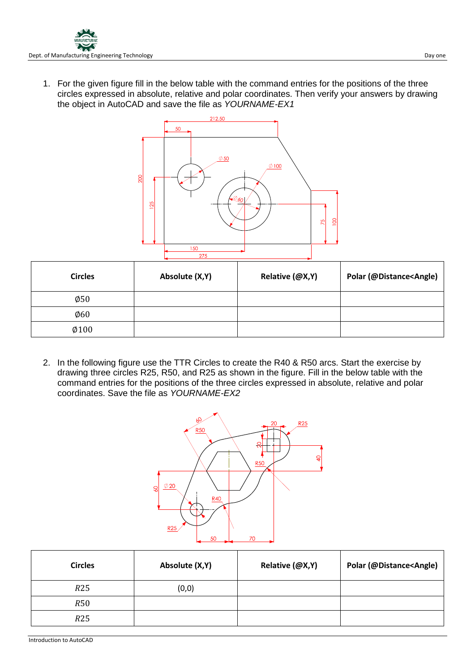1. For the given figure fill in the below table with the command entries for the positions of the three circles expressed in absolute, relative and polar coordinates. Then verify your answers by drawing the object in AutoCAD and save the file as *YOURNAME-EX1*



| <b>Circles</b>   | Absolute (X,Y) | Relative (@X,Y) | Polar (@Distance <angle)< th=""></angle)<> |
|------------------|----------------|-----------------|--------------------------------------------|
| $\varnothing$ 50 |                |                 |                                            |
| $\varphi$ 60     |                |                 |                                            |
| $\emptyset$ 100  |                |                 |                                            |

2. In the following figure use the TTR Circles to create the R40 & R50 arcs. Start the exercise by drawing three circles R25, R50, and R25 as shown in the figure. Fill in the below table with the command entries for the positions of the three circles expressed in absolute, relative and polar coordinates. Save the file as *YOURNAME-EX2*



| <b>Circles</b> | Absolute (X,Y) | Relative (@X,Y) | Polar (@Distance <angle)< th=""></angle)<> |
|----------------|----------------|-----------------|--------------------------------------------|
| R25            | (0, 0)         |                 |                                            |
| <i>R</i> 50    |                |                 |                                            |
| R25            |                |                 |                                            |